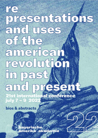# and uses<br>american<br>in past (Candinand prevolution)<br>and present st international conference july 7 – 9 2022

presentations and the sense of the sense of the sense of the sense of the sense of the sense of the sense of the

**bios & abstracts**

records and the contract of

bayerische amerika-akade 22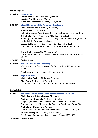#### **thursday july 7**

- **3.00 PM Introduction Volker Depkat** (University of Regensburg), **Karsten Fitz** (University of Passau) **Susanne Lachenicht** (University of Bayreuth)
- **3.30 PM Visual Memories of the American Revolution** Chair: **Karsten Fitz** (University of Passau)

#### **Thomas Giese** (Düsseldorf)

Reframing Leutze: "Washington Crossing the Delaware" in a New Context

**Erika Piola** (Library Company of Philadelphia), **virtual** Watching the "Watchman's Cry": Anatomy of an Antebellum Engraving of the End of the American Revolution

**Lauren B. Hewes** (American Antiquarian Society), **virtual** The 19th-Century Reuse and Revival of Paul Revere's "The Boston Massacre"

#### **Mark Thistlethwaite** (TCU School of Art) The American Revolution's Evolving Visual Imagery in the 21st Century, So Far

- **5.30 PM Coffee Break**
- **6.30 PM Welcome and Award Ceremony** Welcome by John Stubbs, Consul for Public Affairs (U.S. Consulate Munich)

BAA Dissertation and Honorary Member Award

**7.00 PM Keynote Address** Chair: **Heike Paul** (FAU Erlangen-Nürnberg) **Alan Taylor** (University of Virginia) The American Revolution and the Contemporary Culture War

#### **friday july 8**

| 9.00 AM | The American Revolution in Historiographical Traditions<br>Chair: Andrew O'Shaughnessy (Monticello) |
|---------|-----------------------------------------------------------------------------------------------------|
|         | <b>Bertrand van Ruymbeke (University of Paris 8)</b>                                                |
|         | "La plus grande et la plus importante des révolutions": French                                      |
|         | Contemporaneous Writings on the American Revolution (1780s-1790s)                                   |
|         | <b>Csaba Lévai</b> (University of Debrecen)                                                         |
|         | Interpretations of the American Revolution in Communist Hungary                                     |
|         | <b>Ghislain Potriquet</b> (University of Strasbourg)                                                |
|         | The Coming of Age of American History in France, 1870-1900                                          |
|         |                                                                                                     |

**10.30 PM Coffee Break**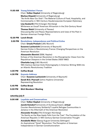#### **11.00 AM Young Scholars' Forum**

Chair: **Volker Depkat** (University of Regensburg)

**Markus Diepold** (University of Regensburg) "No Knife Near Our Dish": The Material Culture of Food, Hospitality, and Commensality in 18th Century Haudenosaunee-European Diplomacy

**Lisa Seuberth** (FAU Erlangen-Nürnberg) Whiteness as Usual? American Africanism in the 21st-Century Novel

**Thomas StelzI** (University of Passau)

Discussing War and Peace: Representations and Uses of the Past in German-American Foreign Policy

#### **12.30 PM Lunch Break**

**2.00 PM Revolutions, Independence and Political Exiles** Chair: **Ursula Prutsch** (LMU Munich)

> **Susanne Lachenicht** (University of Bayreuth) German Exiles in Revolutionary France: Changing Perspectives on the American Revolution

**Alessandro Bonvini** (SSM, Naples) Echoes of the American Revolution in the Risorgimento: Views from the Republican Diaspora in the United States (1835-1860)

#### **Charlotte Lerg** (LMU Munich)

19th-Century German Exile Historiography in America: Writing 1848 into an Atlantic Revolutionary Tradition

- **4.00 PM Coffee Break**
- **4.30 PM Keynote Address**

Chair: **Susanne Lachenicht** (University of Bayreuth) **Sarah M.S. Pearsall** (Johns Hopkins University) Representing Revolution

- **5.45 PM Coffee Break**
- **6.00 PM BAA Members' Meeting**

#### **saturday july 9**

#### **9.00 AM Loyalists and Conservatives**

Chair: **Volker Depkat** (University of Regensburg)

**Jannik Keindorf** (University of Duisburg-Essen), **virtual** Counter-Revolutionary Solidarity? Loyalist Refugee Communities in Jamaica in the Aftermath of the American Revolution

**Alexander Kruska** (FAU Erlangen-Nürnberg) "As Gently as the Ripe Apple Falls from the Tree": The Foundation of the American Republic in 19th-Century German Conservative Thought

**Annabelle Meier** (Georg-August-University Göttingen) An Aspirational "Quiet" Revolution: The Perception of American Independence in German Constitutionalism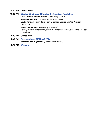#### **11.00 PM Coffee Break**

**11.30 PM Staging, Singing, and Dancing the American Revolution** Chair: **Kerstin Schmidt** (KU Eichstätt-Ingolstadt)

> **Nassim Balestrini** (Karl-Franzens-University Graz) Staging the American Revolution: Dramatic Genres and/as Political **Discourse**

**Vanessa Vollmann** (University of Passau)

Reimagining Milestones: Myths of the American Revolution in the Musical "Hamilton"

- **1.00 PM Coffee Break**
- **1.30 PM Presentation of AMERICA 2026 Bertrand van Ruymbeke** (University of Paris 8)
- **2.00 PM Wrap up**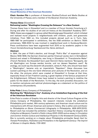#### **thursday july 7, 3.30 PM Visual Memories of the American Revolution**

**Chair: Karsten Fitz** is professor of American Studies/Cultural and Media Studies at the University of Passau and a member of the Bavarian American Academy.

#### **Thomas Giese** (Düsseldorf)

# **Reframing Leutze: "Washington Crossing the Delaware" in a New Context**

Thomas Giese lives in Düsseldorf and is a member of Forum Vormärz Forschung e.V. During and after his studies of art and art history at the Düsseldorf Academy (1977– 1983), Giese was engaged in a group called Wandmalgruppe Düsseldorf, which initiated and realized mural projects in neighborhoods with children, youth, and grassroots initiatives. From 1984 on, this included projects abroad such as in Turin, Italy. 1985-1987 he participated in exhibitions, like the DGB exhibition on Berlin's 750th anniversary. 1996-2004 he was involved in neighborhood work in Duisburg-Marxloh. Press contributions have been augmented from 2015 on by academic papers in the Forum Vormärzforschung Yearbook and the Heine-Jahrbuch.

#### **Abstract**

In 1844, the year of Polk's election, and through "Polk's War" of expansion against Mexico 1846-1848, the German-American painter Emanuel Leutze, born in Schwäbisch Gmünd and raised in Philadelphia, was living in Düsseldorf. In "Französische Maler" (French Painters), the Düsseldorf-born poet Heinrich Heine mentions "Bonaparte, der ein Washington von Europa werden konnte, und nur dessen Napoleon ward". By analogy, we could say the eleventh US president, James K. Polk, who should have been a "Washington", became only an imperialistic "Napoleon". Giese discusses how Leutze's painting on the one hand references prior pictures of the Revolution, and on the other, the pictures which were created at Düsseldorf in Europe at that time, especially those of Carl Friedrich Lessing, a great-nephew of the famous proponent of the Enlightenment. Different times have looked to Leutze's painting to mobilize the public for the ideals of the Revolution. To this day, the work provokes discussion, not to mention caricatures and satirical photomontages as a statement on the politics of contemporary US presidents.

#### **Erika Piola** (Library Company of Philadelphia)

#### **Watching the "Watchman's Cry": Anatomy of an Antebellum Engraving of the End of the American Revolution**

Erika Piola is curator of Graphic Arts and director of the Visual Culture Program at the Library Company of Philadelphia. Her research interests include the antebellum Philadelphia print market, 19th-century ephemera, and American visual culture and its intersections with African American and women's history. She is editor and contributor to Philadelphia on Stone: Commercial Lithography in Philadelphia, 1828-1878 (2012). Recent work has included the exhibition *Imperfect History: Curating the Graphic Arts* Collection at Benjamin Franklin's Public Library (2021-2022) and an essay in Circulation and Control: Artistic Culture and Intellectual Property in the Nineteenth Century (2021). She is currently working on a chapter about Philadelphia printseller Sarah Hart for Female Printmakers, Publishers and Printsellers in the Eighteenth Century: The Imprint of Women in Graphic Media, 1735-1830.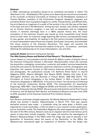#### **Abstract**

In 1856, international printsellers Goupil & Co. published *Cornwallis is Taken! The* Watchman's Cry - Philadelphia 1781, a parlor print depicting the moonlit announcement of the surrender of General Cornwallis at Yorktown at the Philadelphia residence of Thomas McKean, president of the Continental Congress. Designed, engraved, and printed by British-born transplants Eugenio H. Latilla, Thomas Doney, and William Pate, the print depicts an imaginary of a swath of the society in the city that was at the heart of the start and end of the Revolution. Among the men, women, and children rendered are an African American caregiver, a man with an amputation, and an Indigenous woman. A narrative seemingly born in a 1850s popular history text, the visual conception of the historical moment was issued as more households hung framed prints on their walls. An historical image depicting 19th-century conceptualized tropes of race, gender, and disability, its reading in the 21st century provides a kaleidoscope of visual interpretation about those who created, distributed, consumed, and embodied this visual memory of the American Revolution. This paper will examine the sociopolitical cultures that informed the creation of the print – its anatomy – and those affecting the kaleidoscope of its visual interpretation, now and then.

#### **Lauren B. Hewes** (American Antiquarian Society)

#### **The 19th-Century Reuse and Revival of Paul Revere's "The Boston Massacre"**

Lauren Hewes is a vice president and the Andrew W. Mellon curator of Graphic Arts at the American Antiquarian Society in Worcester, Massachusetts, where she oversees the acquisition, cataloging, conservation, curatorial, and readers' services departments and builds and cares for the Society's extensive collections of prints, photographs, and ephemera. Her research focuses on 19th-century American portraiture, printmaking, and photography. Her publications include "J.H. Bufford's Parlor Gems" in Imprint Magazine (2021), Beyond Midnight: Paul Revere (2019), Radiant with Color & Art: McLoughlin Brothers and the Business of Picture Books, 1858-1920 (2017), "The Circulation of French lithographs in the United States" in *With a French Accent:* American Lithography to 1860 (2012), In Pursuit of a Vision: Two Centuries of Collecting at the American Antiquarian Society (2012), "The Cosmopolitan Art Association Engravings, 1856-1861," Imprint Magazine (2006), and Portraits in the Collection of the American Antiquarian Society (2004). She previously held positions at the Print Council of America, the US National Park Service, and Shelburne Museum and was, from 2016 to 2018, president of the American Historical Print Collector Society.

#### **Abstract**

Paul Revere's politically-charged engraving The Bloody Massacre Perpetrated in King-Street, was printed in Boston, Massachusetts, in March 1770. That year several derivative versions were made – a broadside using the same plate, a faithful copy engraved by a local clockmaker, a fold-out plate in a pro-colonist London publication, and an illustration inside The Freeholders Magazine. But what happened after 1770? At the start of the 19th century, Revere's work as an engraver (and his most famous print) seems to have been entirely forgotten. This paper will examine the reemergence of Revere's *Massacre* design in the 1830s when the image was used to educate a new generation of Americans about the events of the Revolution. In the 1850s, the Massacre was repurposed again by supporters of abolition. Here the design was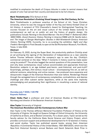modified to emphasize the death of Crispus Attucks in order to remind viewers that people of color had served their country and deserved to be full citizens.

# **Mark Thistlethwaite** (TCU School of Art)

# **The American Revolution's Evolving Visual Imagery in the 21st Century, So Far**

Mark Thistlethwaite is professor emeritus of the School of Art, Texas Christian University, where he was the inaugural holder of the Kay and Velma Kimbell Chair of Art History. A recipient of TCU Chancellor's Award for Distinguished Teaching, his courses focused on the art and visual culture of the United States (colonial to contemporary) as well as on public art and the history of graphic design. His publications include Painting in the Grand Manner: The Art of Peter F. Rothermel (1812-1895) (1995), Grand Illusions: History Painting in America (1988) with W. Gerdts (eds.), and The Image of George Washington: Studies in Mid-Nineteenth-Century American History Painting (1979). Currently, he is co-curating the exhibition Night and Day: Frederic Remington's Final Decade, to open at the Sid Richardson Museum, Fort Worth, Texas, in late 2022.

#### **Abstract**

On February 13, 2022, during the Super Bowl, the productivity platform ClickUp aired an ad portraying the signing of the Declaration of Independence as a near calamity before Thomas Jefferson utilized the company's app to save the day. ClickUp's commercial centered on the idea: "What if moments in history could be made easier using its product?" The ad also begged the central questions of this presentation, how and why does contemporary visual culture accommodate and appropriate American Revolution subjects in an age dubbed post-heroic, post-historical, and post-truth? Surprisingly, perhaps, 21st-century visual culture – encompassing fine art, as well as editorial cartoons, advertising, and online memes – has produced more expansive and idiosyncratic images of the American Revolution than ever before. Renderings filtered through the variegated lens of contemporary complexities, contradictions, and desires challenge and often subvert earlier depictions, while at the same time implicitly acknowledging and perpetuating their significance in visualizing a sense of national identity.

#### **thursday july 7 2022, 7.00 PM Keynote Address**

**Chair: Heike Paul** is professor and chair of American Studies at FAU Erlangen-Nürnberg and director of the Bavarian American Academy.

# **Alan Taylor** (University of Virginia)

#### **The American Revolution and the Contemporary Culture War**

Alan Taylor is the Thomas Jefferson Memorial Foundation Professor of History at the University of Virginia. He taught at Queens College of Oxford University, the University of California at Davis, and at Boston University. For a dozen years, Taylor served as the faculty advisor for the California State Social Science and History Project, which provides curriculum support and professional development for K-12 teachers in history and social studies. Taylor has published several books, among them American Republics: A Continental History of the United States, 1783-1850 (2021), which won the New-York Historical Society's annual Barbara and David Zalaznick Book Prize in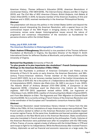American History, Thomas Jefferson's Education (2019), American Revolutions: A Continental History, 1750-1804 (2016), The Internal Enemy: Slavery and War in Virginia (2013), and The Civil War of 1812: American Citizens, British Subjects, Irish Rebels, & Indian Allies (2010). In 2016, he became member of the American Academy of Arts and Sciences and in 2020, received membership in the American Philosophical Society.

#### **Abstract**

The presentation will discuss the politics in the United States (within and beyond the academy) around interpreting the American Revolution, with a special focus on the controversial impact of the 1619 Project in bringing slavery to the forefront. The controversy revives some deeper historiographical issues around the nature of progressive and consensus interpretation of the revolution as foundational for pervasive divisions within the United States.

#### **friday, july 8 2021, 9.00 AM**

#### **The American Revolution in Historiographical Traditions**

**Chair: Andrew O'Shaughnessy** (Monticello) is vice president of the Thomas Jefferson Foundation at Monticello in Virginia, the Saunders Director of the Robert H. Smith International Center for Jefferson Studies at Monticello, and professor of History at the University of Virginia.

#### **Bertrand Van Ruymbeke** (University of Paris 8)

#### **"La plus grande et la plus importante des révolutions": French Contemporaneous Writings on the American Revolution (1780s-1790s)**

Bertrand Van Ruymbeke is professor of American Civilization and History at the University of Paris 8. He works on early America, the American Revolution, and 18thcentury Franco-American relations. Former member of the Omohundro Institute Council (2017-2021), he is an honorary member (senior) of the Institut Universitaire de France (class of 2015-20). He is the author of L'Indépendance des États-Unis: Heritage et Interpretations (2021), Histoire des États-Unis: De 1492 à nos jours, 2 vols. (2021), The Atlantic World of Anthony Benezet (1713-1784) (2016), A Companion to the Huguenots (2016), L'Amérique avant les États-Unis: Une histoire de l'Amérique anglaise, 1497-1776 (2013, paperback revised edition 2016), Les huguenots et l'Atlantique, 2 vols. (2009-2012), coeditor of Constructing Early Modern Empires (2007), and From New Babylon to Eden: The Huguenots and Their Migration to Colonial South Carolina (2006). He is currently writing a French history of the American Revolution and is the coordinator of the European and Transatlantic consortium America 2026.

#### **Abstract**

The American Revolution raised tremendous literary interest in France from the late 1760s to the 1790s. At first, translations of major American essays were published. Then French authors started to reflect on the American Revolution and its possible impact on ancien regime France. At the same time, Académies and learned societies organized essay contests on the New World and on the American Revolution. State constitutions were also translated in French and commented by the philosophes. Finally, histories of the American Revolution were published soon after its completion with the 1783 treaty of Paris. France, of course, signed a treaty of alliance with the United States in 1778 and sent troops to fight for its independence. While the Revolutionary War involved France's military, diplomatic as well as financial and economic resources on a large scale, the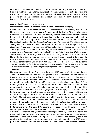educated public was very much concerned about the Anglo-American crisis and French's involvement, pondering the global – meaning European – lasting political and institutional impact this faraway revolution would have. This paper seeks to offer a panorama of French publications and perceptions of the American Revolution in the last third of the 18th century.

# **Csaba Lévai** (University of Debrecen)

# **Interpretations of the American Revolution in Communist Hungary**

Csaba Lévai (1964) is an associate professor of History at the University of Debrecen. He was educated at the University of Debrecen and the Loránd Eötvös University of Budapest. Lévai teaches 18th- and 19th-century history. His research interests are the history of the British colonies in North America, the history of the American Revolution, and the history of slavery in British North America and the United States of America. His publications include "The Execrable Commerce": Transatlantic Slave Trade and the Emergence of the Slave Systems in British North America (2020, in Hungarian), (as ed.) American History and Historiography (2013, a collection of his essays, in Hungarian), The Republicanism Debate. A Historiographical Discussion of the Intellectual Background of the American Revolution (2003, in Hungarian), and New Order in a New World, a collection of writings by the American Founding Fathers (1997, in Hungarian). His works have been published in seven countries (Hungary, Great Britain, Canada, Italy, the Netherlands, and Germany) in Hungarian and in English. He was a two-times Fulbright scholar at the University of Virginia, and he was also a research fellow at the International Center for Jefferson Studies in Charlottesville, Virginia, and at the Fred W. Smith Library for the Study of George Washington in Mount Vernon, Virginia.

# **Abstract**

Hungary was part of the Soviet bloc between 1948 and 1990. Consequently, the American Revolution officially was interpreted within the Marxist-Leninist ideological framework of the ruling party. But this period was not homogeneous either, and the interpretation of the American Revolution was somewhat different during the Stalinist dictatorship of the first half of the 1950s, and during the slightly milder regime of János Kádár (1956-1989). The official interpretation of the American Revolution was determined by several factors. The changing relationship of the Soviet Union and the United States, and as a result, the changing relations of Hungary and the United States had a great impact on it. But it was also changing as a result of the special intentions of the Kádár regime towards the United States. In the first half of the 1950s, the dogmatic Marxist-Leninist interpretation was obligatory. But during the second half of the 1960s and the 1970s, a milder version of the original thesis was in use. This was the period of the consolidation of the Kádár regime after the putting down of the anti-Soviet uprising in 1956, and the period of détente in world politics. Hungarian leaders wanted better relations with the United States, mainly for economic and financial reasons. A few Hungarian historians were allowed to visit the United States with the help of different scholarships, and greater emphasis was put on the argument that after all, the American Revolution was a progressive event from the point of view of the progress of mankind towards communism. This approach characterized the scholarly books and articles which celebrated the bicentenary of American independence in 1976. As the part of this milder approach, the publication of the works of non-Marxist classics of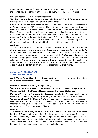American historiography (Charles A. Beard, Henry Adams) in the 1980s could be also interpreted as a sign of the relative ideological laxity of the late Kádár regime.

# **Ghislain Potriquet** (University of Strasbourg)

# **"La plus grande et la plus importante des révolutions": French Contemporaneous Writings on the American Revolution (1780s-1790s)**

Ghislain Potriquet has been associate professor of American Studies at the University of Strasbourg since 2010. He earned his doctorate in American studies from the University Paris III – Sorbonne Nouvelle. After publishing on language minorities in the United States, he developed an interest for comparative historiography. He contributed to Remembering Early Modern Revolutions (2018), with a chapter entitled "How the American Revolution Earned its *Indépendance*." Second to his interest for French historians of the United States are German historians. He is currently working on a book about French historians of the United States, from 1848 to the present.

# **Abstract**

The proclamation of the Third Republic ushered in an era of reform. In French academia, efforts were undertaken to bring *universités* on par with their foreign counterparts. As an academic discipline, history took a "methodical turn" over that very period. This paper will examine the works of French historians of the United States to assess the extent of such progress towards methodical, academic history. Works by Émile Boutmy, Adolphe de Chambrun, and Henri Doniol will be discussed. Each author studied the American Revolution and the adoption of the 1787 Constitution, commemorating in distinct ways the centennial anniversary of these foundational events.

#### **friday, july 9 2021, 11.00 AM Young Scholars' Forum**

**Chair: Volker Depkat** is professor of American Studies at the University of Regensburg and a board member of the Bavarian American Academy.

# **Markus J. Diepold** (University of Regensburg)

#### **"No Knife Near Our Dish": The Material Culture of Food, Hospitality, and Commensality in 18th Century Haudenosaunee-European Diplomacy**

Markus J. Diepold is a PhD student and research assistant in American Studies at the University of Regensburg, currently working on his thesis as part of the DFG-Project "Entangled Objects? The Material Culture of Diplomacy in Transcultural Processes of Negotiation in the 18th Century." His research focus is on early Modern History, Material Culture Studies, Diplomatic Theory, Food Culture, Native American History and Culture, and Critical Indigenous Theory.

#### **Abstract**

This paper aims to investigate what role various forms of food practices – such as the hosting of feasts and provisioning of delegations, as well as larger food-related questions concerning land use and trade of agricultural tools or liquor – played in 18thcentury diplomatic interactions between European and Haudenosaunee actors in the American Northeastern woodlands and how the presence or absence of these practices impacted their commercial, military, and political relations.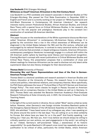# **Lisa Seuberth** (FAU Erlangen-Nürnberg) **Whiteness as Usual? American Africanism in the 21st-Century Novel**

Lisa Seuberth is a PhD candidate and research associate in American Studies at FAU Erlangen-Nürnberg. She passed her First State Examination in December 2020 in English and French and is currently working on her project on "White Supremacist and Anti-Black Discourses in Contemporary US American Literature". Her research interests mainly concern Postcolonial Studies, African American Studies, and Critical Race Theory with a special focus on Critical Whiteness Studies. In her research, she focuses on the role popular and prestigious literatures play in the constant (re-) construction of racialized US-American identities.

#### **Abstract**

This paper focuses on the reverberations of the White supremacist discourse Morrison called "American Africanism" in contemporary US-American literary writings. It is guided by the conviction that a rise in the critical awareness of Whiteness can be diagnosed in the United States between the 19th and the 21st century, reflected and encouraged by its national literatures. In contrast to many canonical works of the 19th and 20th centuries that promoted, or stayed ambiguous towards, American Africanism, contemporary prestigious literatures increasingly engage in a cultural shift within the US American public sphere by teaching racial literacy and transcultural recognition. Framing Morrison's concept with recent publications in Critical Whiteness Studies and Critical Race Theory, this presentation proposes that a combination of close and distant readings for American Africanism can be used to disclose not only latent white supremacist ideas but also literary strategies for their deconstruction.

#### **Thomas Stelzl** (University of Passau)

#### **Discussing War and Peace: Representations and Uses of the Past in German-American Foreign Policy**

Thomas Stelzl is a doctoral candidate and research assistant in American Studies and History Education at the University of Passau. His research focus is on American culture and politics, international relations, and conspiracy theories. More specifically, his PhD thesis addresses the issue of "Cultural Bias in Post-9/11 German and American Foreign Policy". The most recent classes he taught in Passau focused on American ideologies and on conspiracy theories in the United States as well as in Germany. In 2017, Thomas Stelzl was awarded the Bavarian American Academy's Post-Graduate Research Fellowship at Duke University and, in 2021, the University of Passau's Good Teaching Award.

#### **Abstract**

In the light of the current events in Ukraine, the so-called "West" seems united as rarely before. However, when Germany's new foreign minister Annalena Baerbock spoke at the Emergency Special Session of the UN General Assembly on Ukraine on March 1st, 2022, she admitted: "I have heard some of my colleagues say, when I was speaking on the phone around the world in the last days: 'You are calling on us to show solidarity for Europe. But where have you been for us in the past?' And frankly speaking, I am telling you: I hear you. We hear you. And I truly believe we should always be willing to critically question our own actions, our past engagements in the world. I am willing to do so." Indeed, Germany's self-proclaimed "deep[…] aware[ness] of its historic responsibility" (to quote Baerbock's UN speech once more) has repeatedly served as a justification to be critical of allies, particularly the United States, where American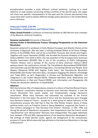exceptionalism provides a quite different cultural backdrop. Looking at a small selection of case studies concerning military conflicts of the last 20 years, this paper will show how specific interpretations of the past and the cultural peculiarities they cause have been used to explain different foreign policy decisions in the United States and in Germany.

# **friday july 8 2022, 2.00 PM Revolutions, Independence and Political Exiles**

**Chair: Ursula Prutsch** is professor of American Studies at LMU Munich and a member of the Bavarian American Academy.

#### **Susanne Lachenicht** (University of Bayreuth)

#### **German Exiles in Revolutionary France: Changing Perspectives on the American Revolution**

Susanne Lachenicht is professor of Early Modern European and Atlantic History at the University of Bayreuth. She has been a visiting professor/fellow at All Souls College, Oxford, at the EHESS, Paris, and at the universities Toulouse Jean Jaurès and Angers. Together with Lauric Henneton (UVSQ), she founded the Summer Academy of Atlantic History (SAAH). From 2012 to 2014, she was president of the European Early American Studies Association (EEASA). She is one of the co-editors of OUP's bibliography "Atlantic History" and a member of the Journal of Early American History's (Brill) advisory board. Her publications include The TransAtlantic Reconsidered (2018/2020) with Charlotte Lerg and Michael Kimmage (eds.), Connecting Worlds and People. Early Modern Diasporas (2016) with Dagmar Freist (eds.), Die Französische Revolution (2012/2016) with Kirsten Heinsohn (eds.), *Europeans Engaging the Atlantic. Knowledge* and Trade (2014, as ed.), Hugenotten in Europa und Nordamerika: Migration und Integration in der Frühen Neuzeit (2010), Diaspora Identities: Exile, Nationalism and Cosmopolitanism in Past and Present (2009), and Information und Propaganda: Die Presse der deutschen Jakobiner im Elsaß (2004).

#### **Abstract**

With the American War of Independence, dreams of a reform of the Holy Roman Empire, of its "federal" constitution seemed to become more concrete. However, it was the French Revolution that would shatter and fundamentally change Germany's constitution. While many Germans had welcomed the outbreak of the French Revolution in the first place, the period of terror and the revolutionary wars changed how Germans looked at France – except for a small group of radical admirers of the revolutionary process who had had to flee the Holy Roman Empire. Some of these political exiles, such as Friedrich Cotta or Georg Wedekind, supported the French in their military campaigns to "free Germans from slavery". However, in 1797, 1799, and during the period of Napoleonic occupation, their expectations that the French would "republicanize" and "democratize" Germany were disappointed. This paper addresses how, between 1776 and 1815, representations of the American Revolution developed in the writings of these German exiles, against the background of the revolutionary process in France. Which place did they attribute to the American Revolution in the Age of Revolution?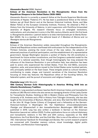#### **Alessandro Bonvini** (SSM, Naples)

#### **Echoes of the American Revolution in the Risorgimento: Views from the Republican Diaspora in the United States (1835-1860)**

Alessandro Bonvini is currently a research fellow at the Scuola Superiore Meridionale (University of Naples "Federico II"). He has been a postdoctoral fellow at the Istituto Italiano per gli Studi Storici and at the German Historical Institute, Rome, and Max Weber Fellow at the European University Institute, Florence. He obtained a PhD in History from the University of Salerno, in joint supervision with Pontificia Universidad Javeriana of Bogota. His research interests focus on entangled revolutions, nationalisms, and volunteerism in arms in the 19th-century Atlantic world. His first book is Risorgimento atlantico: I patrioti italiani e la lotta internazionale per le libertà, Rome-Bari (2022). He is a member of the editorial board of *II Mestiere di Storico* and La Rassegna storica del Risorgimento.

#### **Abstract**

Echoes of the American Revolution widely resounded throughout the Risorgimento. Liberal and Republican writers overflowed with enthusiasm for the independence of the Thirteen Colonies, praising the moral virtues of the new nation, the adoption of advanced practices of political participation, and the establishment of a representative government. George Washington became a symbol of liberty; the US constitution a benchmark for future written constitutions, and the Congress a potential model for the creation of a national assembly. Even though historiography has long analyzed the influence of the American Revolution in pre-unification Italy, less attention has been paid to actors who experienced the United States. From the mid-1830s, economic migration, exile, and proscriptions moved to the United States some hundred patriots, who principally settled on the East Coast. These émigrés acted as cultural transfers, contributing to create, shape, and transmit narratives of the American Revolution focusing on three key features: the Republican ethos of the founding fathers, the federalist system, and the pursuit of economic and religious freedom.

#### **Charlotte Lerg** (LMU Munich)

#### **19th Century German Exile Historiography in America: Writing 1848 into an Atlantic Revolutionary Tradition**

Charlotte A. Lerg assistant professor teaches North American history and transatlantic studies at LMU Munich where she also serves as managing director of the Lasky Center for Transatlantic Studies. Holding an MA in Modern History and Philosophy from the University of St. Andrews and a PhD in History from Tübingen University, she has also taught at the Universities of Bochum, Münster, and Jena. She held the BAA fellowship at the John W. Kluge Center (Library of Congress) and a fellowship at the German-Historical-Institute in Washington DC. Her Habilitation Universitätsdiplomatie. Prestige und Wissenschaft in den transatlantischen Beziehungen 1890-1920 was published in 2019. Lerg has also written a textbook in German on the American Revolution (second ext. edition 2022). Further publications focus on cultural diplomacy and transatlantic relations in the 19th and 20th century, especially on the 1848 Revolutions, the First World War, and the Cold War. She is one of the editors in chief of HIC. International Yearbook for Knowledge and Society. Her current research projects are concerned with Canadian memory culture, visual knowledge, digital public humanities, and Revolution historiography.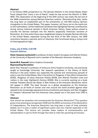#### **Abstract**

In his famous 1909 compendium on *The German Element in the United States*, Albert Faust relayed that "many a son of liberty" made his way across the Atlantic in 1848- 1849. This observation at the beginning of the 20th century was really the tail end of the 1848-romanticism among German-American authors. Deconstructing their myths has long been an established part of the scholarship on mid-19th-century German immigration to the United States. This paper, however, will focus not on the myths but on the mythmakers. Unlike traditional narratives that highlighted German contributions during various historical periods in North American history, these authors aimed to inscribe the German example into the Atlantic (especially American) narrative of Revolution. At a time when there was a heightened impetus to elevate German ethnicity in the United States, especially during the last third of the 19th century, the 1848 revolutions became a peculiar point of reference, that functioned along a unique kind of historiographical logic.

#### **friday, july 8 2022, 4.30 PM Keynote Address**

**Chair: Susanne Lachenicht** is professor of early modern European and Atlantic History at the University of Bayreuth and a member of the Bavarian American Academy.

# **Sarah M.S. Pearsall** (Johns Hopkins University)

# **Representing Revolution**

Sarah M.S. Pearsall is professor of history at Johns Hopkins University, she previously taught at Cambridge University. Her research specializes in the history of North America in the early modern era, especially the colonial and revolutionary periods of what is now the United States. She is the author of *Polygamy: A Very Short Introduction* (2022), Polygamy: An Early American History (2019), and Atlantic Families: Lives and Letters in the Later Eighteenth Century (2008). She is currently working on a book entitled Freedom Round the Globe: A New History of the American Revolution, which will appear in 2026. The book focuses on a global perspective on the American Revolution as all kinds of women and men around the world buckled against what seemed to be increasingly oppressive forms of authority and slavery; and their struggles for freedom influenced how this American story played out in the years from 1763 to 1788.

#### **Abstract**

How should we remember and commemorate the American Revolution? This question grows more pressing as we approach 2026 and the 250th anniversary of the Declaration of Independence. The American Revolution has long been a topic of lively scholarly debate, but it is also a matter of significant public and civic interest especially in the United States. This lecture will consider these matters of commemoration and representation in part to think through how best to mark the upcoming anniversary.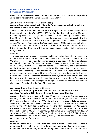#### **saturday, july 9 2022, 9.00 AM Loyalists and Conservatives**

**Chair: Volker Depkat** is professor of American Studies at the University of Regensburg and a board member of the Bavarian American Academy.

#### **Jannik Keindorf** (University of Duisburg-Essen)

#### **Counter-Revolutionary Solidarity? Loyalist Refugee Communities in Jamaica in the Aftermath of the American Revolution**

Jannik Keindorf is a PhD candidate at the ERC Project "Atlantic Exiles: Revolution and Refugees in the Atlantic World, 1770s-1820s" at the Historical Institute of the University of Duisburg-Essen. 2017-2021, he did his master of arts in History and Philosophy at Ruhr-University Bochum. During this time, he was also a research assistant at the Historical Institute for the MERCUR-project *Doing Globalization - At Home: Ständische* Lebensführung als frühmoderne Verflechtungspraxis in 2020, and at the Institute for Social Movements from 2017 to 2019. His research interests are the history of the British Empire (late 17th - early 19th century), early modern history, global history, and refugee history.

#### **Abstract**

This paper explores the uses of the American Revolution for those who remained loyal to the British Empire and fled the United States in its aftermath. It focuses on the Caribbean as a central stage for counter-revolutionary activity by loyalist refugees committed to the idea of imperial 'improvement'. Jamaica was a key destination, with about 10,000 loyalist exiles seeking refuge here. However, the historiography emphasizes how they struggled to make a living. The paper tries to bring this verdict into question by analyzing the ties between loyalism and imperial improvement, and the role they played in the reception of loyalist refugees. It seeks to show that the American Revolution became a key point of reference to both loyalist refugees and the Jamaican host society for demonstrating their unconditional loyalism towards the British crown. It asks if this commonality managed to bridge the divide of imperial and national allegiance enforced during the Age of Revolutions.

#### **Alexander Kruska** (FAU Erlangen-Nürnberg)

#### **"As Gently as the Ripe Apple Falls from the Tree": The Foundation of the American Republic in 19th-Century German Conservative Thought**

Alexander Kruska is a lecturer in Political Science at FAU Erlangen-Nürnberg and teaching coordinator for FAU's Social Studies Education programme. From 2011 until 2015, he worked as an archivist at FAU's "Gerlach archive" and, until 2018, as research associate at the Political Science Department. His PhD dissertation (Die Polemik der Restauration, FAU, 2017) deals with the polemics the infamous reactionary Karl Ludwig von Haller used to fight against early liberal thought and its democratic ideals. His latest publication is Military Dictatorship as the "Reign of the Mightier": Karl Ludwig von Haller's Organicist Concept of Natural Order and Autocratic Rule (2021). Kruska's main research interests are political theory, history of political institutions, and German conservatism in the 19th century.

#### **Abstract**

In the aftermath of the French Revolution, early German conservative thought is determined by a specific approach to the maintenance of political order. As sacred boundaries not to be broken, the criteria of legitimacy and tradition shall define the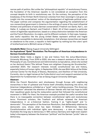narrow path of politics. But unlike the "philosophical republic" of revolutionary France, the foundation of the American republic is not considered an exception from this concept despite its birth in revolutionary war. On the contrary, the perception of the breakaway of the thirteen North American colonies from their sovereign's rule gives an insight into the conservatives' notion of the development of legitimate political order. The paper outlines and compares the argumentation regarding the establishment of non-monarchical government in America in the writings of some of the most influential thinkers and politicians of early German conservatism: Friedrich von Gentz, Karl L. von Haller, E. Ludwig von Gerlach, and Friedrich J. Stahl. All of them support a particular notion of legitimate republicanism, based on a sharp distinction between the American and the French Revolution, its origins, and its different contexts. In their eyes, however, also lawful republics like the young United States represent artificial and fragile constructs susceptible to democratic temptations. And whereas monarchies are based on obedience to the crown, a republic is held together by nothing but the rulers' spirit of brotherhood and a (British) sense of liberty.

#### **Annabelle Meier** (Georg-August-University Göttingen)

#### **An Aspirational "Quiet" Revolution: The Perception of American Independence in German Constitutionalism**

Annabelle Meier holds a degree in law and history from the Julius-Maximilians-University Würzburg. From 2016 to 2020, she was a research assistant at the chair of Philosophy of Law, Constitutional and Administrative Jurisprudence, where she worked on her doctoral thesis ("Die Jellinek These vom religiösen Ursprung der Grundrechte," submitted 2021). Her research interests include constitutional law and history, especially history of human rights. In September 2018, she was BAA-fellow at the Gilder Lehrman Center for the Study of Slavery, Resistance, and Abolition of Yale University. Currently, she is a legal trainee at the Fulda district court and research assistant at the department for fundamentals of law at Georg-August-University Göttingen.

#### **Abstract**

While the French Revolution sent shockwaves through Europe with neighboring monarchies in fear of upheaval and France itself ultimately dissolving into terror, the American Independence unfolded as a "quiet" nation building process. This American "conservatism" attracted the attention of German liberals who had lost hope to fulfill their republican goals during the restauration period that followed the constitutional movement in 1848. For them, the American example provided the useful narrative that there is no inescapable connection between constitutional rights and revolutionary terror. Prominent scholars, like Troeltsch and Jellinek reviewed the American Independence in an a-historical fashion, framing it as "rights-based" and "ademocratic". This perception of the American Revolution, that deliberately sidelines its democratic core, shows what has been thinkable in Wilhelminian Germany: Constitutionalism with individual rights sans democracy – a view on history that illustrates the long way to democracy in 19th century Germany and might even explain today's discrepancy between the American "political" and the German "juridic" take on democracy.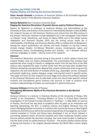#### **saturday, july 9 2022, 11.00 AM Staging, Singing, and Dancing the American Revolution**

**Chair: Kerstin Schmidt** is professor of American Studies at KU Eichstätt-Ingolstadt and deputy director of the Bavarian American Academy.

#### **Nassim Balestrini** (Karl-Franzens-University Graz)

# **Staging the American Revolution: Dramatic Genres and/as Political Discourse**

Nassim W. Balestrini is professor of American Studies and Intermediality at the University of Graz, and director of the Centre for Intermediality Studies in Graz (CIMIG). Her research focuses on US-American literature and culture from the 18th century to the present. Particular interests include adaptation (as in her monograph From Fiction to Libretto: Irving, Hawthorne, and James as Opera, 2005, and in the edited volume Adaptation and American Studies, 2011) and life writing across media (as in Intermediality, Life Writing, and American Studies, 2018, co-edited with Ina Bergmann). Among her recent publications are articles and book chapters on hip-hop culture, climate change theater, Lin-Manuel Miranda's oeuvre, contemporary opera, and contemporary poetry. Contemplating borders and mobility – be it between nations, cultures, languages, or media – informs much of her research.

#### **Abstract**

The American Revolution occurred during a time period in which spoken drama and musical theater were not clearly distinguished. The uncertainties that scholars have experienced when trying to classify or categorize works from the last third of the 18th century have impacted the ways in which works from this era have been studied from different disciplinary perspectives. Beyond that, extant scholarship tends to ignore the respective role and contribution of multiple artists (e.g., playwright, lyricist, composer) and artistic media (e.g., spoken dialogue, songs, instrumental music) in specific works. This paper will focus on how research on such stage works about the political upheaval of the American Revolution and its aftermath could and should take specific cultural contexts and transatlantic genre histories into account in order to produce more complex understandings of theater as a participant in political discourse.

#### **Vanessa Vollmann** (University of Passau)

# **Reimagining Milestones: Myths of the American Revolution in the Musical "Hamilton"**

Vanessa Vollmann is a lecturer in American Studies at the University of Passau. She handed in her dissertation, "Founding Mothers of Color: A Critical Race Feminist Investigation of the Female Founder Narrative in 'Hamilton'", in May 2022. An alumna of Passau, she found her way back to academia after 20 years as an interpreter and teaching interpreting. Her M.A. in political science and English literature from the Johann Wolfgang Goethe-University in Frankfurt with a particular focus on New English Literatures and Cultures as well as her personal experiences of having grown up in postcolonial societies in Tunisia and Kenya have developed in her an acute interest in uncovering systemic power structures societies emit when rendering invisible voices that are placed outside the dominant narrative. Her most recent project is leading her into the realm of the so-called American "Fly Girls" – the women aviators whose stories of daring and bravery in the singular decade between the World Wars remain largely untold.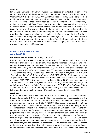#### **Abstract**

Lin-Manuel Miranda's Broadway musical has become an established part of the cultural and historical discourse in the United States. The script is based on Ron Chernow's 2010 biography Alexander Hamilton and consequently has a strong foothold in White male American founder mythology. Miranda uses colorbent representation of its lead characters so that *Hamilton* can be read as a Founding Father "counterstory," to borrow the Critical Race Theory term for including marginalized voices in the dominant narrative. While *Hamilton* reclaims the framer narrative for Americans of Color in this way, it does not discredit the set of established beliefs and myths constructed around the idea of the Founding Fathers and in this way feeds into how, over time, the dominant imagination has replaced the facts surrounding the Revolution with these myths. This paper explores three such myths that have in common that in Hamilton they are constructed around female or feminized representations that also have at their core a female voice that has remained largely invisible in the framer mythology even into the 21st century.

#### **saturday, july 9 2022, 1.30 PM AMERICA 2026**

#### **Bertrand Van Ruymbeke** (University of Paris 8)

Bertrand Van Ruymbeke is professor of American Civilization and History at the University of Paris 8. He works on early America, the American Revolution, and 18thcentury Franco-American relations. Former member of the Omohundro Institute Council (2017-2021), he is an honorary member (senior) of the Institut Universitaire de France (class of 2015-20). He is the author of L'Indépendance des États-Unis: Heritage et Interpretations (2021), Histoire des États-Unis : De 1492 à nos jours, 2 vols. (2021), The Atlantic World of Anthony Benezet (1713-1784) (2016), A Companion to the Huguenots (2016), L'Amérique avant les États-Unis: Une histoire de l'Amérique anglaise, 1497-1776 (2013, paperback revised edition 2016), Les huguenots et l'Atlantique, 2 vols. (2009-2012), coeditor of Constructing Early Modern Empires (2007), and From New Babylon to Eden: The Huguenots and Their Migration to Colonial South Carolina (2006). He is currently writing a French history of the American Revolution and is the coordinator of the European and Transatlantic consortium America 2026.

#### **Abstract**

In 2026, the United States will celebrate the 250th anniversary of its Declaration of Independence (July 4, 1776), an event which had considerable repercussions in the Atlantic World in the 18th century and which will lead to numerous commemorative moments and publications worldwide. AMERICA 2026 (America, Europe, Revolutions, Independence and Commemorations in the Atlantic world) aims at studying both the contemporaneous impact of the American Revolution on European societies in the 18th century and at placing European historiographies in a comparative perspective. This project intends to build an unprecedented historiographical panorama and reflection through a collaboration between professors and scholars in France and in Europe and through regular and rich exchanges with their American peers. AMERICA 2026 seeks to fully contribute to the debates and to the cultural and academic productions that will accompany the commemorative moment and which will also lead to critical reviews of the study of the American Revolution (women, slaves, loyalism), of its world impact and of its influence on the history of modernity. AMERICA 2026 is aimed at becoming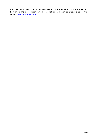the principal academic center in France and in Europe on the study of the American Revolution and its commemoration. The website will soon be available under the address [www.america2026.eu.](http://www.america2026.eu/)